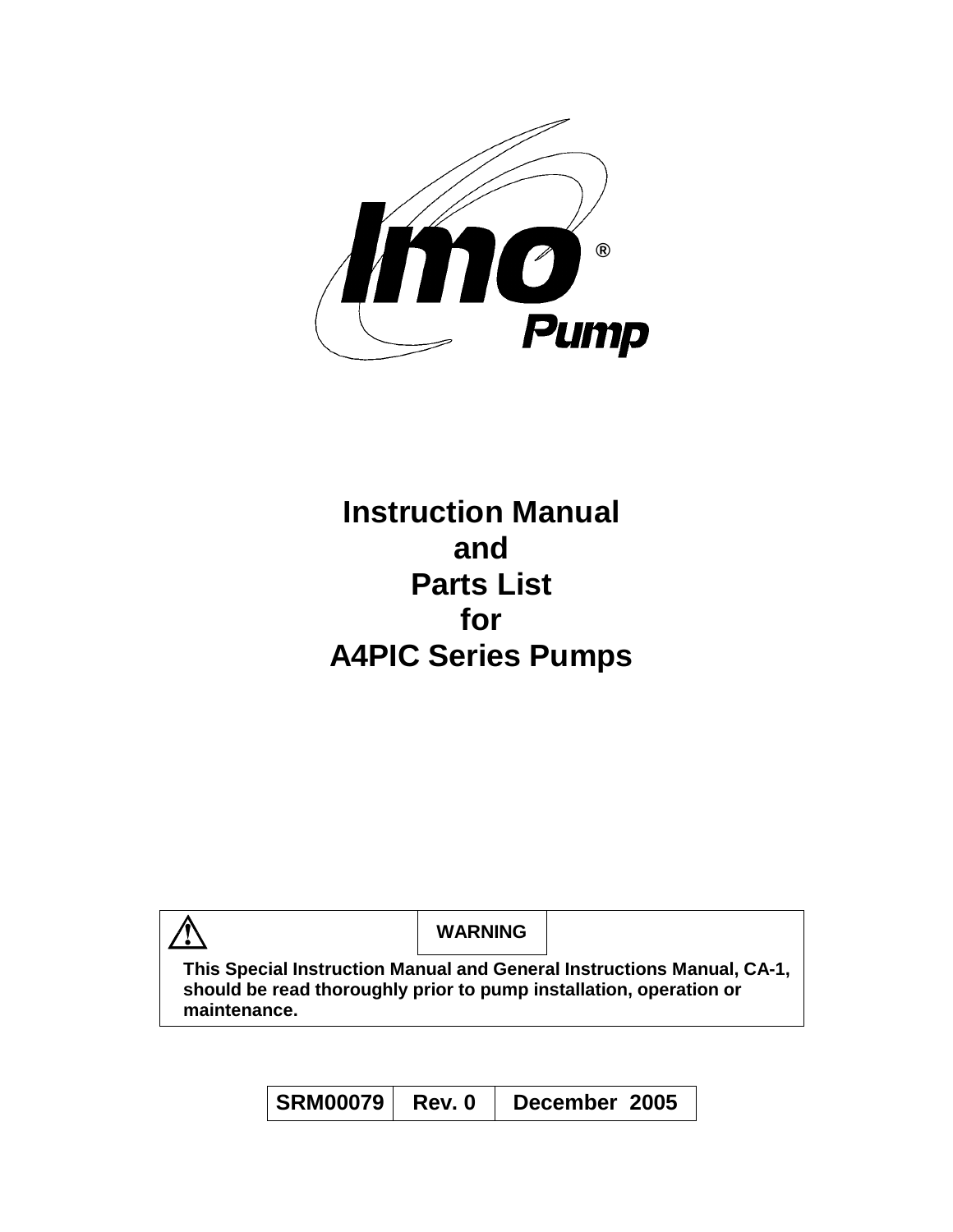

# **Instruction Manual and Parts List for A4PIC Series Pumps**

| $\frac{1}{2}$                                                                      | <b>WARNING</b> |                                                                        |
|------------------------------------------------------------------------------------|----------------|------------------------------------------------------------------------|
| should be read thoroughly prior to pump installation, operation or<br>maintenance. |                | This Special Instruction Manual and General Instructions Manual, CA-1, |

| <b>SRM00079</b> | Rev. 0 | December 2005 |  |
|-----------------|--------|---------------|--|
|-----------------|--------|---------------|--|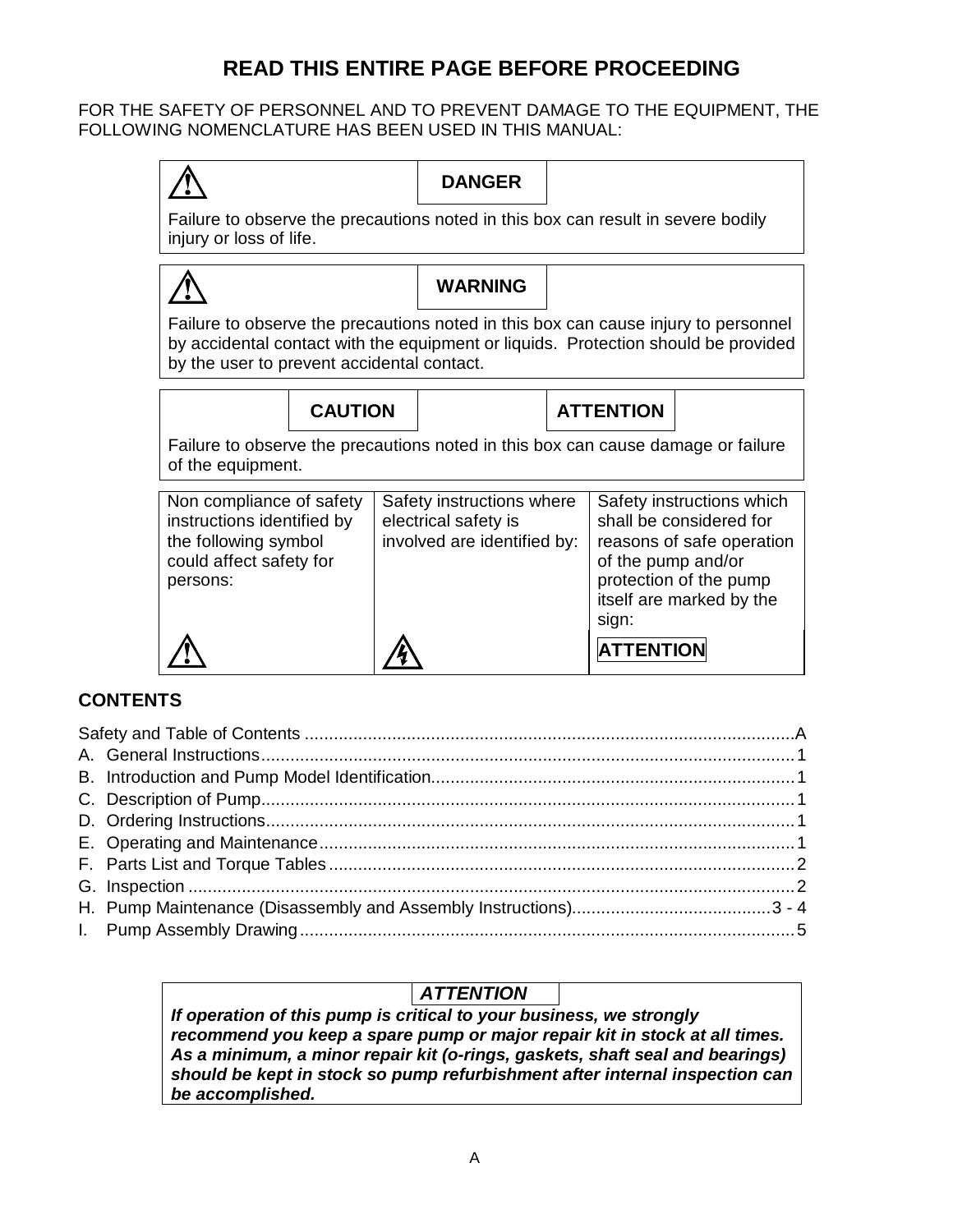# **READ THIS ENTIRE PAGE BEFORE PROCEEDING**

FOR THE SAFETY OF PERSONNEL AND TO PREVENT DAMAGE TO THE EQUIPMENT, THE FOLLOWING NOMENCLATURE HAS BEEN USED IN THIS MANUAL:



**ATTENTION** 

# **CONTENTS**

# *ATTENTION*

*If operation of this pump is critical to your business, we strongly recommend you keep a spare pump or major repair kit in stock at all times. As a minimum, a minor repair kit (o-rings, gaskets, shaft seal and bearings) should be kept in stock so pump refurbishment after internal inspection can be accomplished.*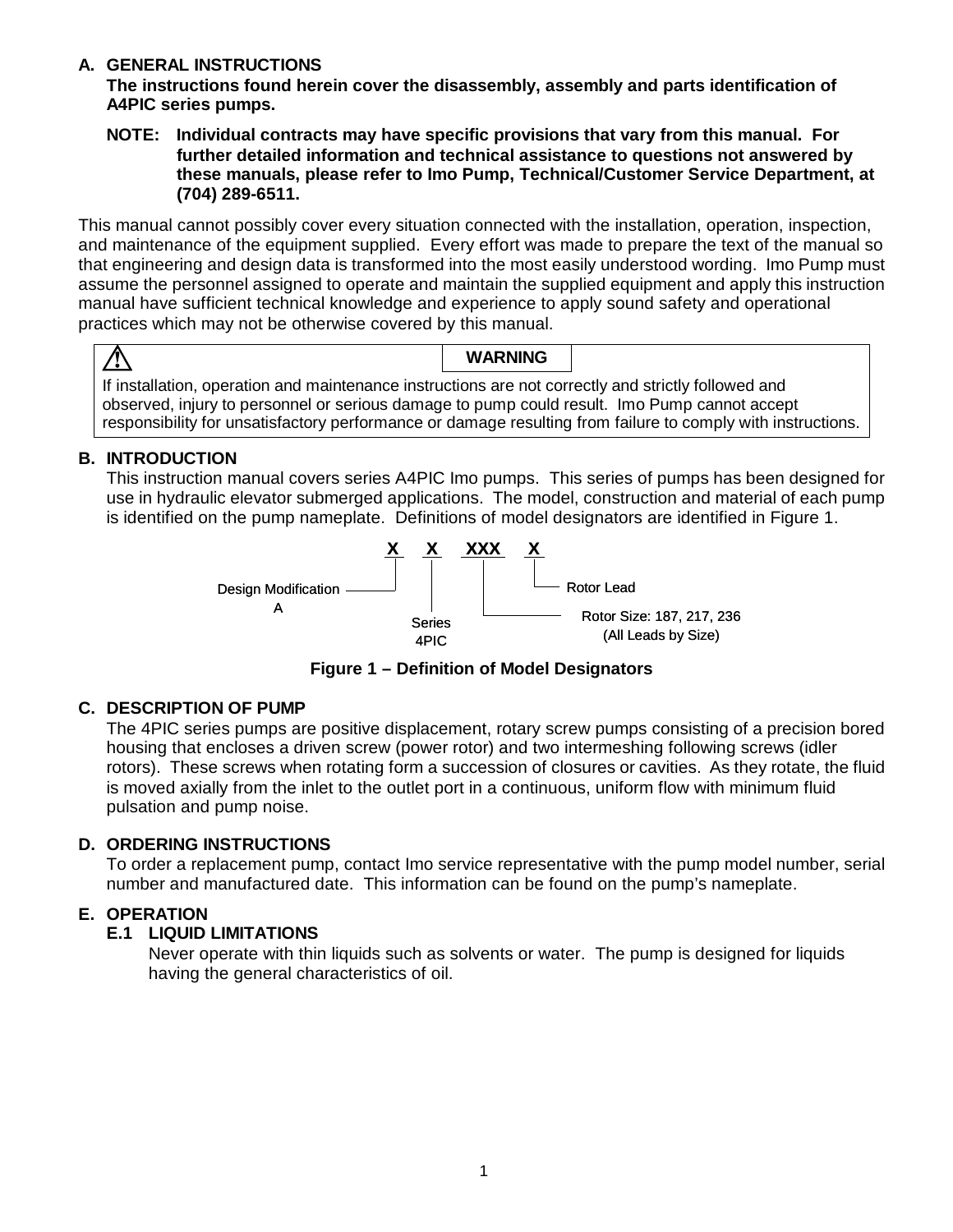## **A. GENERAL INSTRUCTIONS**

**The instructions found herein cover the disassembly, assembly and parts identification of A4PIC series pumps.** 

**NOTE: Individual contracts may have specific provisions that vary from this manual. For further detailed information and technical assistance to questions not answered by these manuals, please refer to Imo Pump, Technical/Customer Service Department, at (704) 289-6511.**

This manual cannot possibly cover every situation connected with the installation, operation, inspection, and maintenance of the equipment supplied. Every effort was made to prepare the text of the manual so that engineering and design data is transformed into the most easily understood wording. Imo Pump must assume the personnel assigned to operate and maintain the supplied equipment and apply this instruction manual have sufficient technical knowledge and experience to apply sound safety and operational practices which may not be otherwise covered by this manual.

# <u>/I\</u>

## **WARNING**

If installation, operation and maintenance instructions are not correctly and strictly followed and observed, injury to personnel or serious damage to pump could result. Imo Pump cannot accept responsibility for unsatisfactory performance or damage resulting from failure to comply with instructions.

# **B. INTRODUCTION**

This instruction manual covers series A4PIC Imo pumps. This series of pumps has been designed for use in hydraulic elevator submerged applications. The model, construction and material of each pump is identified on the pump nameplate. Definitions of model designators are identified in Figure 1.



**Figure 1 – Definition of Model Designators** 

# **C. DESCRIPTION OF PUMP**

The 4PIC series pumps are positive displacement, rotary screw pumps consisting of a precision bored housing that encloses a driven screw (power rotor) and two intermeshing following screws (idler rotors). These screws when rotating form a succession of closures or cavities. As they rotate, the fluid is moved axially from the inlet to the outlet port in a continuous, uniform flow with minimum fluid pulsation and pump noise.

# **D. ORDERING INSTRUCTIONS**

To order a replacement pump, contact Imo service representative with the pump model number, serial number and manufactured date. This information can be found on the pump's nameplate.

# **E. OPERATION**

# **E.1 LIQUID LIMITATIONS**

Never operate with thin liquids such as solvents or water. The pump is designed for liquids having the general characteristics of oil.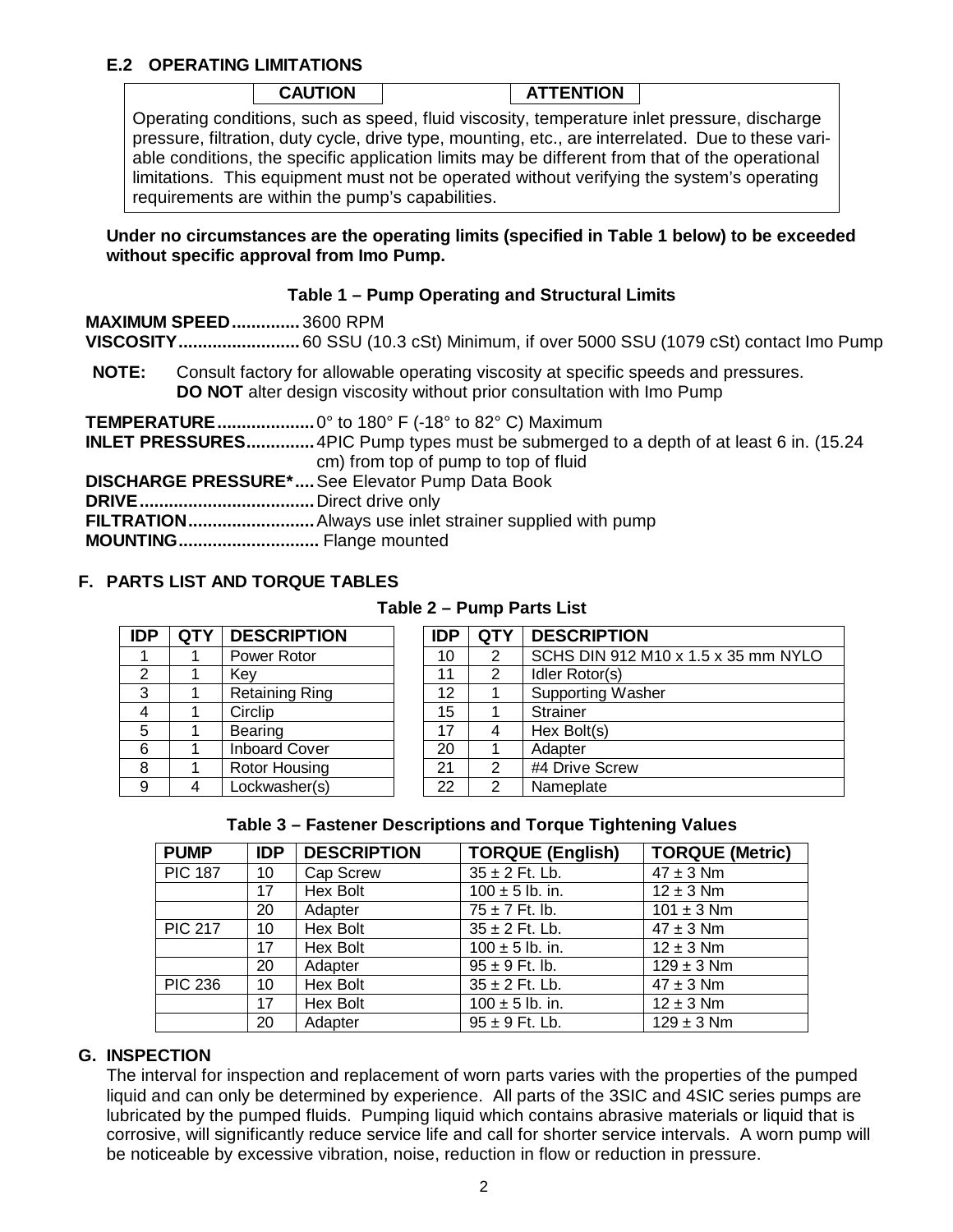#### **E.2 OPERATING LIMITATIONS**

| <b>CAUTION</b> | <b>ATTENTION</b> |  |
|----------------|------------------|--|
|                |                  |  |

Operating conditions, such as speed, fluid viscosity, temperature inlet pressure, discharge pressure, filtration, duty cycle, drive type, mounting, etc., are interrelated. Due to these variable conditions, the specific application limits may be different from that of the operational limitations. This equipment must not be operated without verifying the system's operating requirements are within the pump's capabilities.

#### **Under no circumstances are the operating limits (specified in Table 1 below) to be exceeded without specific approval from Imo Pump.**

#### **Table 1 – Pump Operating and Structural Limits**

|              | <b>MAXIMUM SPEED3600 RPM</b>                                                                                                                                                                    |
|--------------|-------------------------------------------------------------------------------------------------------------------------------------------------------------------------------------------------|
| <b>NOTE:</b> | Consult factory for allowable operating viscosity at specific speeds and pressures.<br>DO NOT alter design viscosity without prior consultation with Imo Pump                                   |
|              | <b>TEMPERATURE</b> 0° to 180° F (-18° to 82° C) Maximum<br><b>INLET PRESSURES</b> 4PIC Pump types must be submerged to a depth of at least 6 in. (15.24<br>cm) from top of pump to top of fluid |
|              | DISCHARGE PRESSURE* See Elevator Pump Data Book                                                                                                                                                 |
|              |                                                                                                                                                                                                 |
|              |                                                                                                                                                                                                 |
|              |                                                                                                                                                                                                 |

#### **F. PARTS LIST AND TORQUE TABLES**

| <b>IDP</b> | <b>QTY</b> | <b>DESCRIPTION</b>    | <b>IDP</b> | <b>QTY</b> | <b>DESCRIPTION</b>                  |
|------------|------------|-----------------------|------------|------------|-------------------------------------|
|            |            | Power Rotor           | 10         | 2          | SCHS DIN 912 M10 x 1.5 x 35 mm NYLO |
| 2          |            | Key                   | 11         | 2          | Idler Rotor(s)                      |
| 3          |            | <b>Retaining Ring</b> | 12         |            | <b>Supporting Washer</b>            |
| -4         |            | Circlip               | 15         |            | <b>Strainer</b>                     |
| 5          |            | <b>Bearing</b>        | 17         | 4          | Hex Bolt(s)                         |
| 6          |            | <b>Inboard Cover</b>  | 20         |            | Adapter                             |
| 8          |            | Rotor Housing         | 21         | 2          | #4 Drive Screw                      |
| 9          | 4          | Lockwasher(s)         | 22         | 2          | Nameplate                           |
|            |            |                       |            |            |                                     |

#### **Table 2 – Pump Parts List**

|    |   | idler Rotor(S)           |
|----|---|--------------------------|
| 12 |   | <b>Supporting Washer</b> |
| 15 |   | <b>Strainer</b>          |
| 17 |   | Hex Bolt(s)              |
| 20 |   | Adapter                  |
| 21 | າ | #4 Drive Screw           |
| 22 |   | Nameplate                |
|    |   |                          |

#### **Table 3 – Fastener Descriptions and Torque Tightening Values**

| <b>PUMP</b>    | <b>IDP</b> | <b>DESCRIPTION</b> | <b>TORQUE (English)</b>                                  | <b>TORQUE (Metric)</b> |
|----------------|------------|--------------------|----------------------------------------------------------|------------------------|
| <b>PIC 187</b> | 10         | Cap Screw          | $35 \pm 2$ Ft. Lb.                                       | $47 \pm 3$ Nm          |
|                | 17         | Hex Bolt           | $100 \pm 5$ lb. in.                                      | $12 \pm 3$ Nm          |
|                | 20         | Adapter            | $75 \pm 7$ Ft. lb.                                       | $101 \pm 3$ Nm         |
| <b>PIC 217</b> | 10         | Hex Bolt           | $35 \pm 2$ Ft. Lb.                                       | $47 \pm 3$ Nm          |
|                | 17         | Hex Bolt           | $100 \pm 5$ lb. in.                                      | $12 \pm 3$ Nm          |
|                | 20         | Adapter            | $95 \pm 9$ Ft. lb.                                       | $129 \pm 3$ Nm         |
| <b>PIC 236</b> | 10         | Hex Bolt           | $35 \pm 2$ Ft. Lb.                                       | $47 \pm 3$ Nm          |
|                | 17         | Hex Bolt           | $\frac{100 \pm 5 \text{ lb. in}}{100 \pm 5 \text{ lb.}}$ | $12 \pm 3$ Nm          |
|                | 20         | Adapter            | $95 \pm 9$ Ft. Lb.                                       | $129 \pm 3$ Nm         |

#### **G. INSPECTION**

The interval for inspection and replacement of worn parts varies with the properties of the pumped liquid and can only be determined by experience. All parts of the 3SIC and 4SIC series pumps are lubricated by the pumped fluids. Pumping liquid which contains abrasive materials or liquid that is corrosive, will significantly reduce service life and call for shorter service intervals. A worn pump will be noticeable by excessive vibration, noise, reduction in flow or reduction in pressure.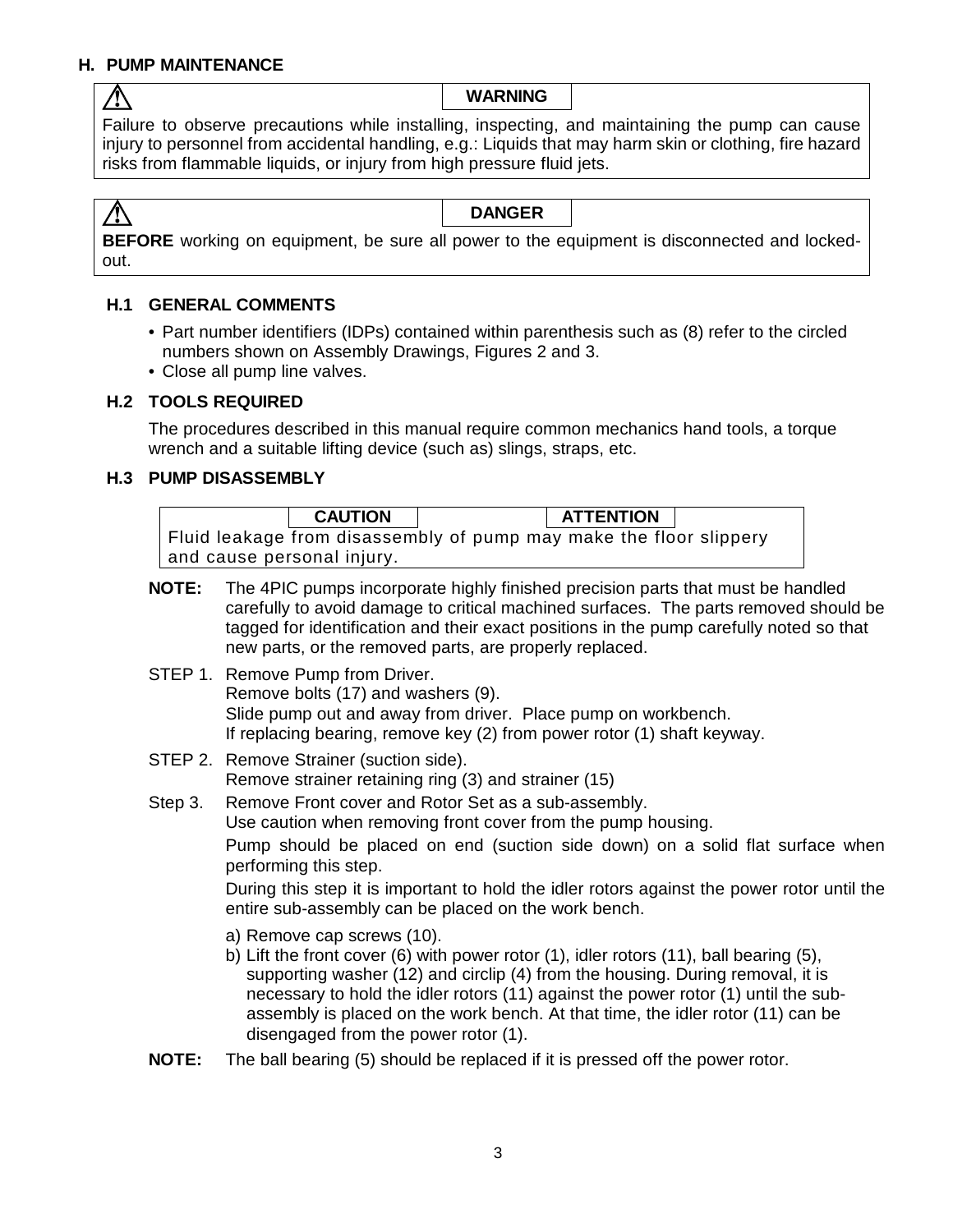# **H. PUMP MAINTENANCE**

 $\bigwedge$ 

**WARNING**

Failure to observe precautions while installing, inspecting, and maintaining the pump can cause injury to personnel from accidental handling, e.g.: Liquids that may harm skin or clothing, fire hazard risks from flammable liquids, or injury from high pressure fluid jets.

 $\bigwedge$ **DANGER BEFORE** working on equipment, be sure all power to the equipment is disconnected and lockedout.

## **H.1 GENERAL COMMENTS**

- Part number identifiers (IDPs) contained within parenthesis such as (8) refer to the circled numbers shown on Assembly Drawings, Figures 2 and 3.
- Close all pump line valves.

#### **H.2 TOOLS REQUIRED**

The procedures described in this manual require common mechanics hand tools, a torque wrench and a suitable lifting device (such as) slings, straps, etc.

#### **H.3 PUMP DISASSEMBLY**

|              | <b>CAUTION</b><br><b>ATTENTION</b><br>Fluid leakage from disassembly of pump may make the floor slippery<br>and cause personal injury.                                                                                                                                                                                                                                                                                                                                                     |  |  |  |  |  |
|--------------|--------------------------------------------------------------------------------------------------------------------------------------------------------------------------------------------------------------------------------------------------------------------------------------------------------------------------------------------------------------------------------------------------------------------------------------------------------------------------------------------|--|--|--|--|--|
|              | <b>NOTE:</b><br>The 4PIC pumps incorporate highly finished precision parts that must be handled<br>carefully to avoid damage to critical machined surfaces. The parts removed should be<br>tagged for identification and their exact positions in the pump carefully noted so that<br>new parts, or the removed parts, are properly replaced.                                                                                                                                              |  |  |  |  |  |
|              | STEP 1. Remove Pump from Driver.<br>Remove bolts (17) and washers (9).<br>Slide pump out and away from driver. Place pump on workbench.<br>If replacing bearing, remove key (2) from power rotor (1) shaft keyway.                                                                                                                                                                                                                                                                         |  |  |  |  |  |
|              | STEP 2. Remove Strainer (suction side).<br>Remove strainer retaining ring (3) and strainer (15)                                                                                                                                                                                                                                                                                                                                                                                            |  |  |  |  |  |
| Step 3.      | Remove Front cover and Rotor Set as a sub-assembly.<br>Use caution when removing front cover from the pump housing.<br>Pump should be placed on end (suction side down) on a solid flat surface when<br>performing this step.<br>During this step it is important to hold the idler rotors against the power rotor until the                                                                                                                                                               |  |  |  |  |  |
|              | entire sub-assembly can be placed on the work bench.<br>a) Remove cap screws (10).<br>b) Lift the front cover $(6)$ with power rotor $(1)$ , idler rotors $(11)$ , ball bearing $(5)$ ,<br>supporting washer (12) and circlip (4) from the housing. During removal, it is<br>necessary to hold the idler rotors (11) against the power rotor (1) until the sub-<br>assembly is placed on the work bench. At that time, the idler rotor (11) can be<br>disengaged from the power rotor (1). |  |  |  |  |  |
| <b>NOTE:</b> | The ball bearing (5) should be replaced if it is pressed off the power rotor.                                                                                                                                                                                                                                                                                                                                                                                                              |  |  |  |  |  |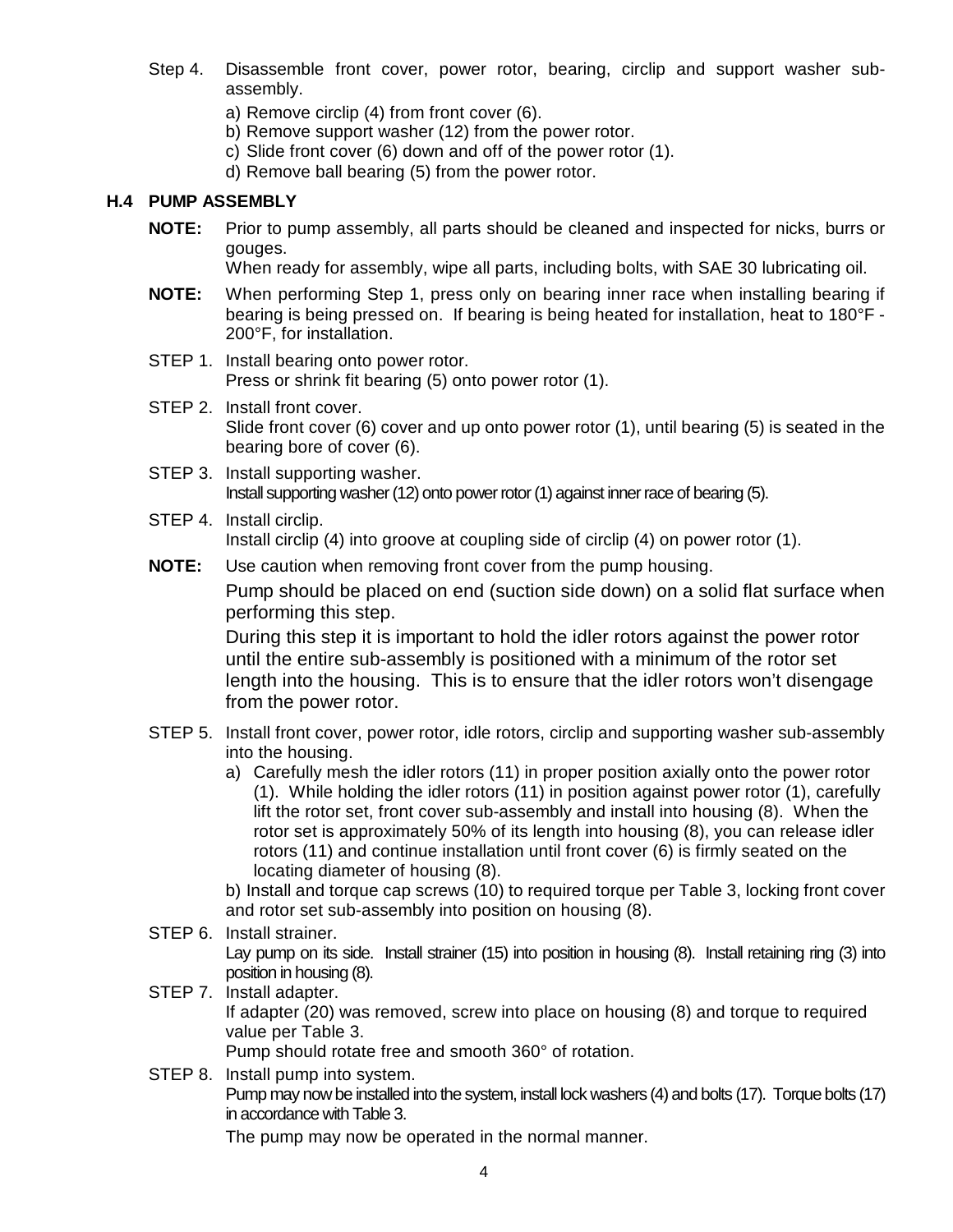- Step 4. Disassemble front cover, power rotor, bearing, circlip and support washer subassembly.
	- a) Remove circlip (4) from front cover (6).
	- b) Remove support washer (12) from the power rotor.
	- c) Slide front cover (6) down and off of the power rotor (1).
	- d) Remove ball bearing (5) from the power rotor.

#### **H.4 PUMP ASSEMBLY**

**NOTE:** Prior to pump assembly, all parts should be cleaned and inspected for nicks, burrs or gouges.

When ready for assembly, wipe all parts, including bolts, with SAE 30 lubricating oil.

- **NOTE:** When performing Step 1, press only on bearing inner race when installing bearing if bearing is being pressed on. If bearing is being heated for installation, heat to 180°F - 200°F, for installation.
- STEP 1. Install bearing onto power rotor. Press or shrink fit bearing (5) onto power rotor (1).
- STEP 2. Install front cover. Slide front cover (6) cover and up onto power rotor (1), until bearing (5) is seated in the bearing bore of cover (6).
- STEP 3. Install supporting washer. Install supporting washer (12) onto power rotor (1) against inner race of bearing (5).
- STEP 4. Install circlip. Install circlip (4) into groove at coupling side of circlip (4) on power rotor (1).
- **NOTE:** Use caution when removing front cover from the pump housing.

Pump should be placed on end (suction side down) on a solid flat surface when performing this step.

During this step it is important to hold the idler rotors against the power rotor until the entire sub-assembly is positioned with a minimum of the rotor set length into the housing. This is to ensure that the idler rotors won't disengage from the power rotor.

- STEP 5. Install front cover, power rotor, idle rotors, circlip and supporting washer sub-assembly into the housing.
	- a) Carefully mesh the idler rotors (11) in proper position axially onto the power rotor (1). While holding the idler rotors (11) in position against power rotor (1), carefully lift the rotor set, front cover sub-assembly and install into housing (8). When the rotor set is approximately 50% of its length into housing (8), you can release idler rotors (11) and continue installation until front cover (6) is firmly seated on the locating diameter of housing (8).

b) Install and torque cap screws (10) to required torque per Table 3, locking front cover and rotor set sub-assembly into position on housing (8).

- STEP 6. Install strainer. Lay pump on its side. Install strainer (15) into position in housing (8). Install retaining ring (3) into position in housing (8). STEP 7. Install adapter.
- If adapter (20) was removed, screw into place on housing (8) and torque to required value per Table 3.
	- Pump should rotate free and smooth 360° of rotation.
- STEP 8. Install pump into system. Pump may now be installed into the system, install lock washers (4) and bolts (17). Torque bolts (17) in accordance with Table 3.

The pump may now be operated in the normal manner.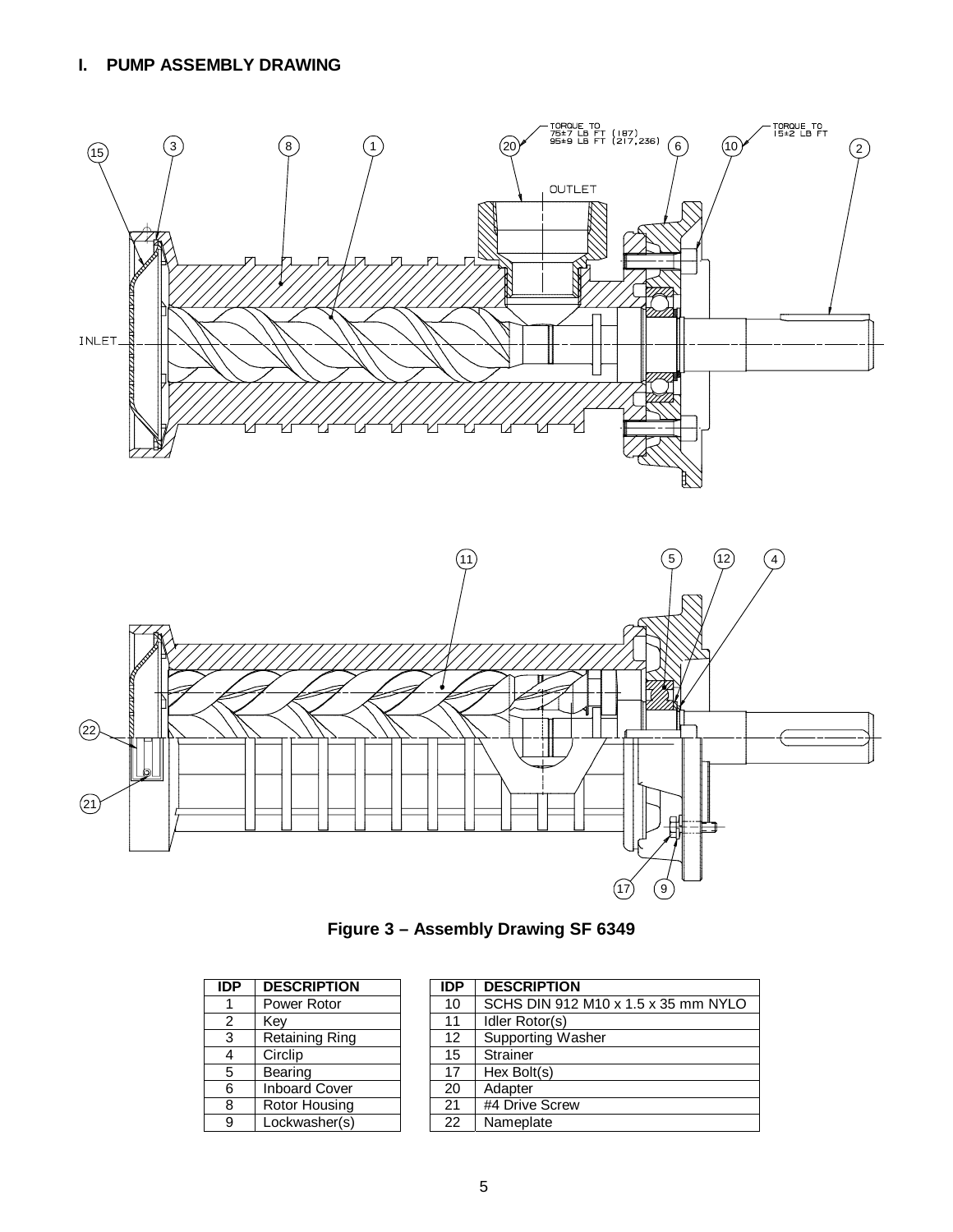# **I. PUMP ASSEMBLY DRAWING**



**Figure 3 – Assembly Drawing SF 6349** 

| <b>IDP</b>     | <b>DESCRIPTION</b>    | <b>IDP</b> | <b>DESCRIPTION</b> |
|----------------|-----------------------|------------|--------------------|
|                | Power Rotor           | 10         | SCHS DIN 912       |
| $\overline{2}$ | Key                   | 11         | Idler Rotor(s)     |
| 3              | <b>Retaining Ring</b> | 12         | Supporting Was     |
| 4              | Circlip               | 15         | Strainer           |
| 5              | Bearing               | 17         | Hex Bolt(s)        |
| 6              | <b>Inboard Cover</b>  | 20         | Adapter            |
| 8              | Rotor Housing         | 21         | #4 Drive Screw     |
| 9              | Lockwasher(s)         | 22         | Nameplate          |

| ЭP                        | <b>DESCRIPTION</b>    | <b>IDP</b> | <b>DESCRIPTION</b>                  |
|---------------------------|-----------------------|------------|-------------------------------------|
| 1                         | Power Rotor           | 10         | SCHS DIN 912 M10 x 1.5 x 35 mm NYLO |
| 2                         | Key                   | 11         | Idler Rotor(s)                      |
| $\overline{\overline{3}}$ | <b>Retaining Ring</b> | 12         | <b>Supporting Washer</b>            |
| 4                         | Circlip               | 15         | Strainer                            |
| 5                         | Bearing               | 17         | Hex Bolt(s)                         |
| 6                         | <b>Inboard Cover</b>  | 20         | Adapter                             |
| $\overline{8}$            | Rotor Housing         | 21         | #4 Drive Screw                      |
| 9                         | Lockwasher(s)         | 22         | Nameplate                           |